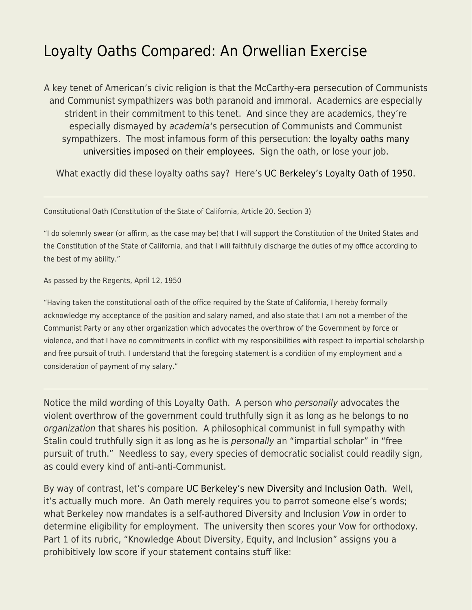## [Loyalty Oaths Compared: An Orwellian Exercise](https://everything-voluntary.com/loyalty-oaths-compared-an-orwellian-exercise)

A key tenet of American's civic religion is that the McCarthy-era persecution of Communists and Communist sympathizers was both paranoid and immoral. Academics are especially strident in their commitment to this tenet. And since they are academics, they're especially dismayed by academia's persecution of Communists and Communist sympathizers. The most infamous form of this persecution: [the loyalty oaths many](https://www.lib.berkeley.edu/uchistory/archives_exhibits/loyaltyoath/symposium/index.html) [universities imposed on their employees](https://www.lib.berkeley.edu/uchistory/archives_exhibits/loyaltyoath/symposium/index.html). Sign the oath, or lose your job.

What exactly did these loyalty oaths say? Here's [UC Berkeley's Loyalty Oath of 1950.](https://www.lib.berkeley.edu/uchistory/archives_exhibits/loyaltyoath/symposium/oath.html)

Constitutional Oath (Constitution of the State of California, Article 20, Section 3)

"I do solemnly swear (or affirm, as the case may be) that I will support the Constitution of the United States and the Constitution of the State of California, and that I will faithfully discharge the duties of my office according to the best of my ability."

As passed by the Regents, April 12, 1950

"Having taken the constitutional oath of the office required by the State of California, I hereby formally acknowledge my acceptance of the position and salary named, and also state that I am not a member of the Communist Party or any other organization which advocates the overthrow of the Government by force or violence, and that I have no commitments in conflict with my responsibilities with respect to impartial scholarship and free pursuit of truth. I understand that the foregoing statement is a condition of my employment and a consideration of payment of my salary."

Notice the mild wording of this Loyalty Oath. A person who personally advocates the violent overthrow of the government could truthfully sign it as long as he belongs to no organization that shares his position. A philosophical communist in full sympathy with Stalin could truthfully sign it as long as he is personally an "impartial scholar" in "free pursuit of truth." Needless to say, every species of democratic socialist could readily sign, as could every kind of anti-anti-Communist.

By way of contrast, let's compare [UC Berkeley's new Diversity and Inclusion Oath](https://ofew.berkeley.edu/recruitment/contributions-diversity/rubric-assessing-candidate-contributions-diversity-equity-and). Well, it's actually much more. An Oath merely requires you to parrot someone else's words; what Berkeley now mandates is a self-authored Diversity and Inclusion Vow in order to determine eligibility for employment. The university then scores your Vow for orthodoxy. Part 1 of its rubric, "Knowledge About Diversity, Equity, and Inclusion" assigns you a prohibitively low score if your statement contains stuff like: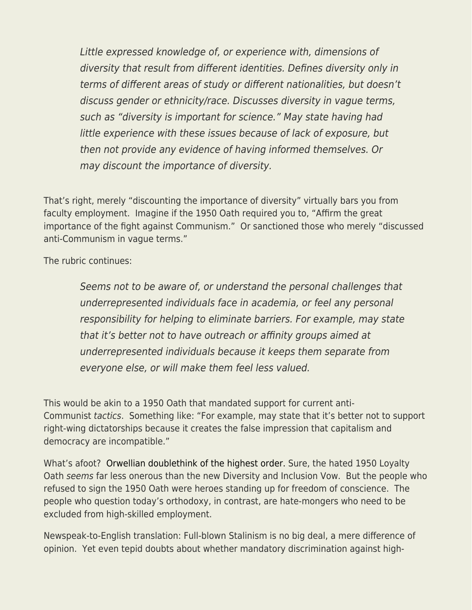Little expressed knowledge of, or experience with, dimensions of diversity that result from different identities. Defines diversity only in terms of different areas of study or different nationalities, but doesn't discuss gender or ethnicity/race. Discusses diversity in vague terms, such as "diversity is important for science." May state having had little experience with these issues because of lack of exposure, but then not provide any evidence of having informed themselves. Or may discount the importance of diversity.

That's right, merely "discounting the importance of diversity" virtually bars you from faculty employment. Imagine if the 1950 Oath required you to, "Affirm the great importance of the fight against Communism." Or sanctioned those who merely "discussed anti-Communism in vague terms."

The rubric continues:

Seems not to be aware of, or understand the personal challenges that underrepresented individuals face in academia, or feel any personal responsibility for helping to eliminate barriers. For example, may state that it's better not to have outreach or affinity groups aimed at underrepresented individuals because it keeps them separate from everyone else, or will make them feel less valued.

This would be akin to a 1950 Oath that mandated support for current anti-Communist tactics. Something like: "For example, may state that it's better not to support right-wing dictatorships because it creates the false impression that capitalism and democracy are incompatible."

What's afoot? [Orwellian doublethink of the highest order.](https://www.econlib.org/the-uniformity-and-exclusion-movement/) Sure, the hated 1950 Loyalty Oath seems far less onerous than the new Diversity and Inclusion Vow. But the people who refused to sign the 1950 Oath were heroes standing up for freedom of conscience. The people who question today's orthodoxy, in contrast, are hate-mongers who need to be excluded from high-skilled employment.

Newspeak-to-English translation: Full-blown Stalinism is no big deal, a mere difference of opinion. Yet even tepid doubts about whether mandatory discrimination against high